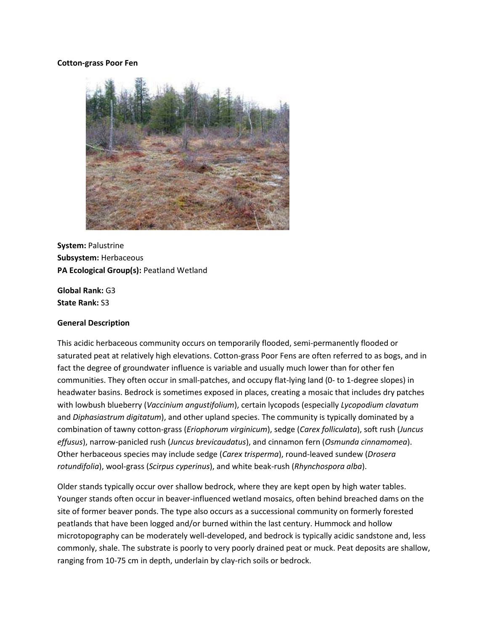#### **Cotton-grass Poor Fen**



**System:** Palustrine **Subsystem:** Herbaceous **PA Ecological Group(s):** Peatland Wetland

**Global Rank:** G3 **State Rank:** S3

#### **General Description**

This acidic herbaceous community occurs on temporarily flooded, semi-permanently flooded or saturated peat at relatively high elevations. Cotton-grass Poor Fens are often referred to as bogs, and in fact the degree of groundwater influence is variable and usually much lower than for other fen communities. They often occur in small-patches, and occupy flat-lying land (0- to 1-degree slopes) in headwater basins. Bedrock is sometimes exposed in places, creating a mosaic that includes dry patches with lowbush blueberry (*Vaccinium angustifolium*), certain lycopods (especially *Lycopodium clavatum*  and *Diphasiastrum digitatum*), and other upland species. The community is typically dominated by a combination of tawny cotton-grass (*Eriophorum virginicum*), sedge (*Carex folliculata*), soft rush (*Juncus effusus*), narrow-panicled rush (*Juncus brevicaudatus*), and cinnamon fern (*Osmunda cinnamomea*). Other herbaceous species may include sedge (*Carex trisperma*), round-leaved sundew (*Drosera rotundifolia*), wool-grass (*Scirpus cyperinus*), and white beak-rush (*Rhynchospora alba*).

Older stands typically occur over shallow bedrock, where they are kept open by high water tables. Younger stands often occur in beaver-influenced wetland mosaics, often behind breached dams on the site of former beaver ponds. The type also occurs as a successional community on formerly forested peatlands that have been logged and/or burned within the last century. Hummock and hollow microtopography can be moderately well-developed, and bedrock is typically acidic sandstone and, less commonly, shale. The substrate is poorly to very poorly drained peat or muck. Peat deposits are shallow, ranging from 10-75 cm in depth, underlain by clay-rich soils or bedrock.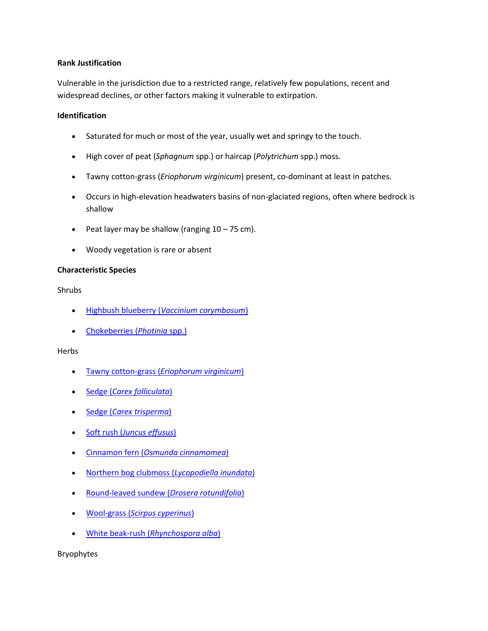### **Rank Justification**

Vulnerable in the jurisdiction due to a restricted range, relatively few populations, recent and widespread declines, or other factors making it vulnerable to extirpation.

### **Identification**

- Saturated for much or most of the year, usually wet and springy to the touch.
- High cover of peat (*Sphagnum* spp.) or haircap (*Polytrichum* spp.) moss.
- Tawny cotton-grass (*Eriophorum virginicum*) present, co-dominant at least in patches.
- Occurs in high-elevation headwaters basins of non-glaciated regions, often where bedrock is shallow
- Peat layer may be shallow (ranging  $10 75$  cm).
- Woody vegetation is rare or absent

# **Characteristic Species**

Shrubs

- Highbush blueberry (*[Vaccinium corymbosum](http://www.natureserve.org/explorer/servlet/NatureServe?searchName=Vaccinium+corymbosum)*)
- [Chokeberries \(](http://www.natureserve.org/explorer/servlet/NatureServe?searchSciOrCommonName=photinia)*Photinia* spp.)

# Herbs

- Tawny cotton-grass (*[Eriophorum virginicum](http://www.natureserve.org/explorer/servlet/NatureServe?searchName=Eriophorum+virginicum)*)
- Sedge (*[Carex folliculata](http://www.natureserve.org/explorer/servlet/NatureServe?searchName=Carex+folliculata)*)
- Sedge (*[Carex trisperma](http://www.natureserve.org/explorer/servlet/NatureServe?searchName=Carex+trisperma)*)
- Soft rush (*[Juncus effusus](http://www.natureserve.org/explorer/servlet/NatureServe?searchName=Juncus+effusus)*)
- Cinnamon fern (*[Osmunda cinnamomea](http://www.natureserve.org/explorer/servlet/NatureServe?searchName=Osmunda+cinnamomea)*)
- [Northern bog clubmoss \(](http://www.natureserve.org/explorer/servlet/NatureServe?searchName=Lycopodiella+inundata)*Lycopodiella inundata*)
- [Round-leaved sundew \(](http://www.natureserve.org/explorer/servlet/NatureServe?searchName=Drosera+rotundifolia)*Drosera rotundifolia*)
- Wool-grass (*[Scirpus cyperinus](http://www.natureserve.org/explorer/servlet/NatureServe?searchName=Scirpus+cyperinus)*)
- White beak-rush (*[Rhynchospora alba](http://www.natureserve.org/explorer/servlet/NatureServe?searchName=Rhynchospora+alba)*)

Bryophytes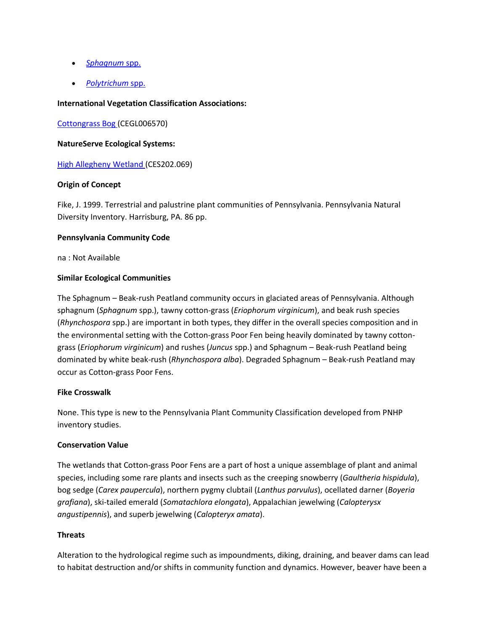- *[Sphagnum](http://www.natureserve.org/explorer/servlet/NatureServe?searchSciOrCommonName=Sphagnum)* spp.
- *[Polytrichum](http://www.natureserve.org/explorer/servlet/NatureServe?searchSciOrCommonName=Polytrichum)* spp.

### **International Vegetation Classification Associations:**

[Cottongrass Bog \(](http://www.natureserve.org/explorer/servlet/NatureServe?searchCommunityUid=ELEMENT_GLOBAL.2.684085)CEGL006570)

#### **NatureServe Ecological Systems:**

[High Allegheny Wetland \(](http://www.natureserve.org/explorer/servlet/NatureServe?searchSystemUid=ELEMENT_GLOBAL.2.800809)CES202.069)

### **Origin of Concept**

Fike, J. 1999. Terrestrial and palustrine plant communities of Pennsylvania. Pennsylvania Natural Diversity Inventory. Harrisburg, PA. 86 pp.

### **Pennsylvania Community Code**

na : Not Available

# **Similar Ecological Communities**

The Sphagnum – Beak-rush Peatland community occurs in glaciated areas of Pennsylvania. Although sphagnum (*Sphagnum* spp.), tawny cotton-grass (*Eriophorum virginicum*), and beak rush species (*Rhynchospora* spp.) are important in both types, they differ in the overall species composition and in the environmental setting with the Cotton-grass Poor Fen being heavily dominated by tawny cottongrass (*Eriophorum virginicum*) and rushes (*Juncus* spp.) and Sphagnum – Beak-rush Peatland being dominated by white beak-rush (*Rhynchospora alba*). Degraded Sphagnum – Beak-rush Peatland may occur as Cotton-grass Poor Fens.

#### **Fike Crosswalk**

None. This type is new to the Pennsylvania Plant Community Classification developed from PNHP inventory studies.

# **Conservation Value**

The wetlands that Cotton-grass Poor Fens are a part of host a unique assemblage of plant and animal species, including some rare plants and insects such as the creeping snowberry (*Gaultheria hispidula*), bog sedge (*Carex paupercula*), northern pygmy clubtail (*Lanthus parvulus*), ocellated darner (*Boyeria grafiana*), ski-tailed emerald (*Somatachlora elongata*), Appalachian jewelwing (*Calopterysx angustipennis*), and superb jewelwing (*Calopteryx amata*).

# **Threats**

Alteration to the hydrological regime such as impoundments, diking, draining, and beaver dams can lead to habitat destruction and/or shifts in community function and dynamics. However, beaver have been a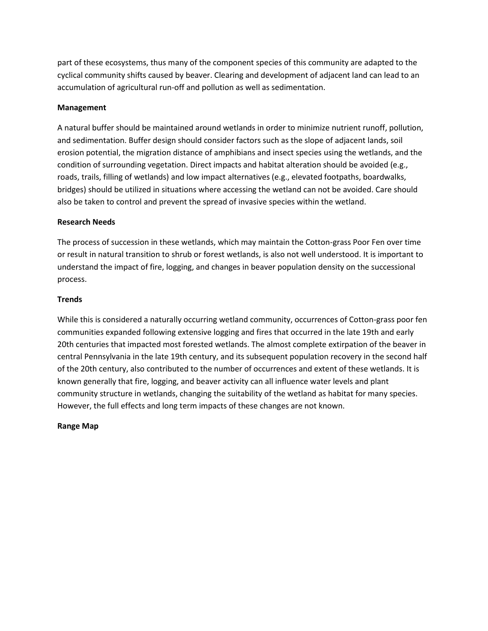part of these ecosystems, thus many of the component species of this community are adapted to the cyclical community shifts caused by beaver. Clearing and development of adjacent land can lead to an accumulation of agricultural run-off and pollution as well as sedimentation.

# **Management**

A natural buffer should be maintained around wetlands in order to minimize nutrient runoff, pollution, and sedimentation. Buffer design should consider factors such as the slope of adjacent lands, soil erosion potential, the migration distance of amphibians and insect species using the wetlands, and the condition of surrounding vegetation. Direct impacts and habitat alteration should be avoided (e.g., roads, trails, filling of wetlands) and low impact alternatives (e.g., elevated footpaths, boardwalks, bridges) should be utilized in situations where accessing the wetland can not be avoided. Care should also be taken to control and prevent the spread of invasive species within the wetland.

### **Research Needs**

The process of succession in these wetlands, which may maintain the Cotton-grass Poor Fen over time or result in natural transition to shrub or forest wetlands, is also not well understood. It is important to understand the impact of fire, logging, and changes in beaver population density on the successional process.

### **Trends**

While this is considered a naturally occurring wetland community, occurrences of Cotton-grass poor fen communities expanded following extensive logging and fires that occurred in the late 19th and early 20th centuries that impacted most forested wetlands. The almost complete extirpation of the beaver in central Pennsylvania in the late 19th century, and its subsequent population recovery in the second half of the 20th century, also contributed to the number of occurrences and extent of these wetlands. It is known generally that fire, logging, and beaver activity can all influence water levels and plant community structure in wetlands, changing the suitability of the wetland as habitat for many species. However, the full effects and long term impacts of these changes are not known.

# **Range Map**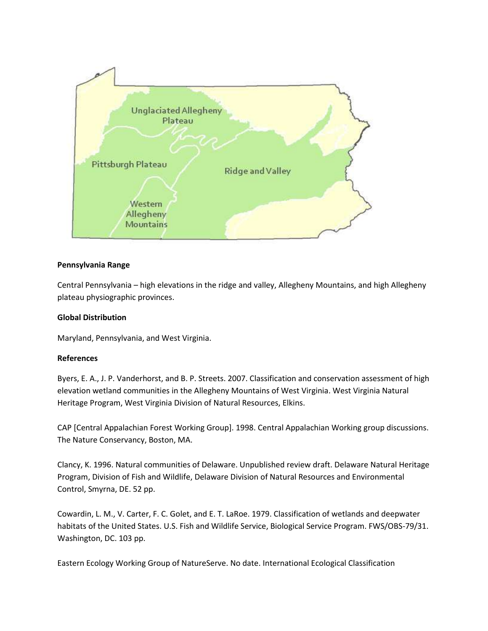

# **Pennsylvania Range**

Central Pennsylvania – high elevations in the ridge and valley, Allegheny Mountains, and high Allegheny plateau physiographic provinces.

# **Global Distribution**

Maryland, Pennsylvania, and West Virginia.

# **References**

Byers, E. A., J. P. Vanderhorst, and B. P. Streets. 2007. Classification and conservation assessment of high elevation wetland communities in the Allegheny Mountains of West Virginia. West Virginia Natural Heritage Program, West Virginia Division of Natural Resources, Elkins.

CAP [Central Appalachian Forest Working Group]. 1998. Central Appalachian Working group discussions. The Nature Conservancy, Boston, MA.

Clancy, K. 1996. Natural communities of Delaware. Unpublished review draft. Delaware Natural Heritage Program, Division of Fish and Wildlife, Delaware Division of Natural Resources and Environmental Control, Smyrna, DE. 52 pp.

Cowardin, L. M., V. Carter, F. C. Golet, and E. T. LaRoe. 1979. Classification of wetlands and deepwater habitats of the United States. U.S. Fish and Wildlife Service, Biological Service Program. FWS/OBS-79/31. Washington, DC. 103 pp.

Eastern Ecology Working Group of NatureServe. No date. International Ecological Classification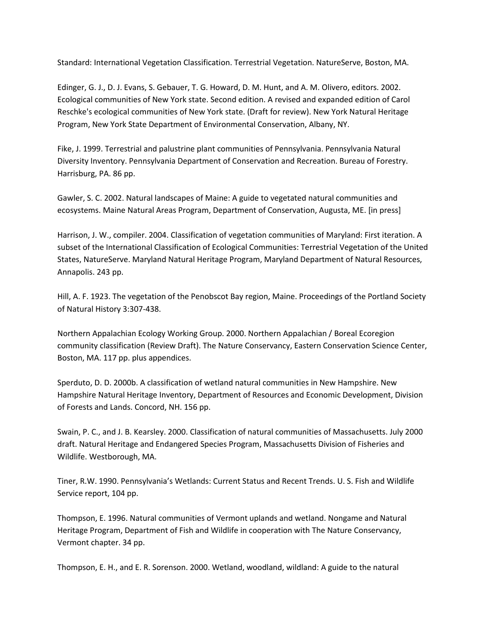Standard: International Vegetation Classification. Terrestrial Vegetation. NatureServe, Boston, MA.

Edinger, G. J., D. J. Evans, S. Gebauer, T. G. Howard, D. M. Hunt, and A. M. Olivero, editors. 2002. Ecological communities of New York state. Second edition. A revised and expanded edition of Carol Reschke's ecological communities of New York state. (Draft for review). New York Natural Heritage Program, New York State Department of Environmental Conservation, Albany, NY.

Fike, J. 1999. Terrestrial and palustrine plant communities of Pennsylvania. Pennsylvania Natural Diversity Inventory. Pennsylvania Department of Conservation and Recreation. Bureau of Forestry. Harrisburg, PA. 86 pp.

Gawler, S. C. 2002. Natural landscapes of Maine: A guide to vegetated natural communities and ecosystems. Maine Natural Areas Program, Department of Conservation, Augusta, ME. [in press]

Harrison, J. W., compiler. 2004. Classification of vegetation communities of Maryland: First iteration. A subset of the International Classification of Ecological Communities: Terrestrial Vegetation of the United States, NatureServe. Maryland Natural Heritage Program, Maryland Department of Natural Resources, Annapolis. 243 pp.

Hill, A. F. 1923. The vegetation of the Penobscot Bay region, Maine. Proceedings of the Portland Society of Natural History 3:307-438.

Northern Appalachian Ecology Working Group. 2000. Northern Appalachian / Boreal Ecoregion community classification (Review Draft). The Nature Conservancy, Eastern Conservation Science Center, Boston, MA. 117 pp. plus appendices.

Sperduto, D. D. 2000b. A classification of wetland natural communities in New Hampshire. New Hampshire Natural Heritage Inventory, Department of Resources and Economic Development, Division of Forests and Lands. Concord, NH. 156 pp.

Swain, P. C., and J. B. Kearsley. 2000. Classification of natural communities of Massachusetts. July 2000 draft. Natural Heritage and Endangered Species Program, Massachusetts Division of Fisheries and Wildlife. Westborough, MA.

Tiner, R.W. 1990. Pennsylvania's Wetlands: Current Status and Recent Trends. U. S. Fish and Wildlife Service report, 104 pp.

Thompson, E. 1996. Natural communities of Vermont uplands and wetland. Nongame and Natural Heritage Program, Department of Fish and Wildlife in cooperation with The Nature Conservancy, Vermont chapter. 34 pp.

Thompson, E. H., and E. R. Sorenson. 2000. Wetland, woodland, wildland: A guide to the natural